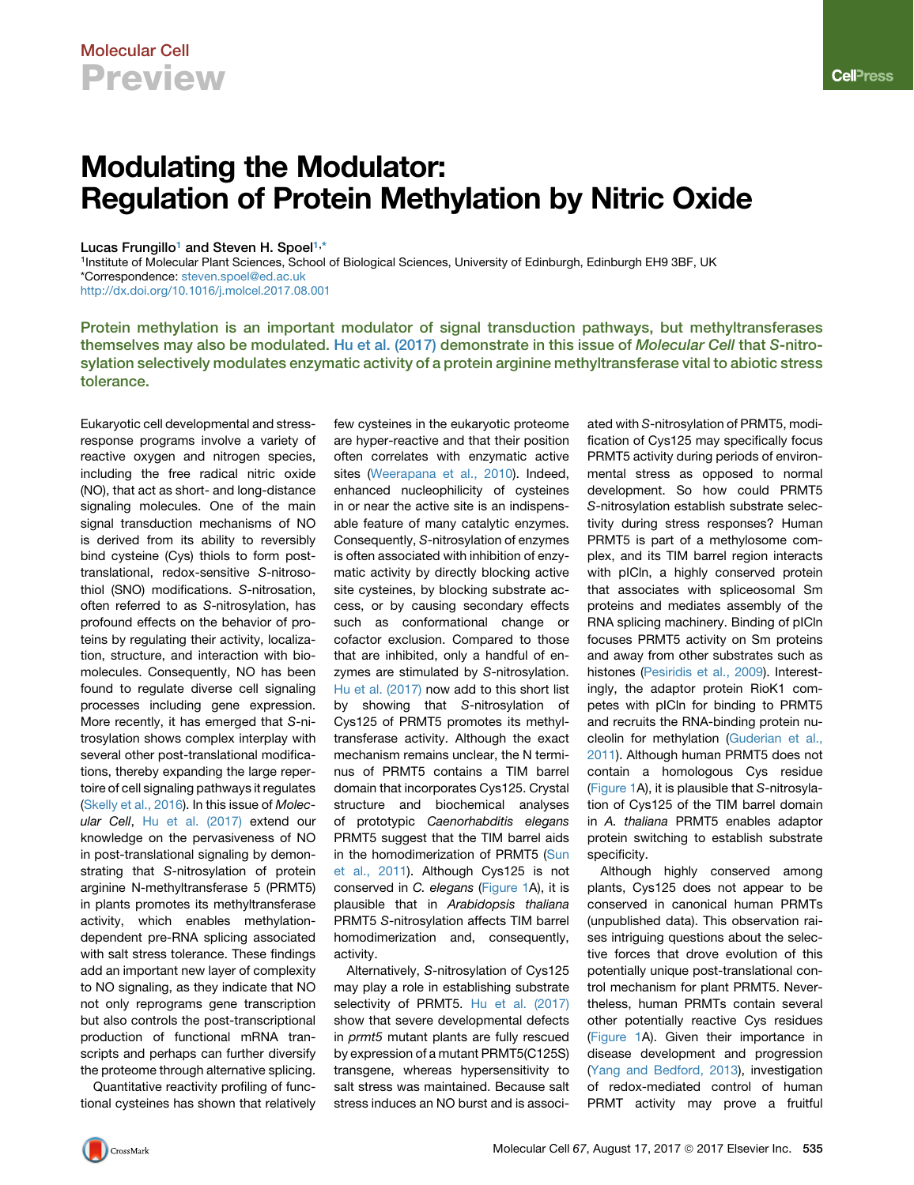# Modulating the Modulator: Regulation of Protein Methylation by Nitric Oxide

### Lucas Frungillo<sup>[1](#page-0-0)</sup> and Steven H. Spoel<sup>[1,](#page-0-0)[\\*](#page-0-1)</sup>

<span id="page-0-1"></span><span id="page-0-0"></span>1Institute of Molecular Plant Sciences, School of Biological Sciences, University of Edinburgh, Edinburgh EH9 3BF, UK \*Correspondence: [steven.spoel@ed.ac.uk](mailto:steven.spoel@ed.ac.uk) <http://dx.doi.org/10.1016/j.molcel.2017.08.001>

Protein methylation is an important modulator of signal transduction pathways, but methyltransferases themselves may also be modulated. [Hu et al. \(2017\)](#page-2-0) demonstrate in this issue of Molecular Cell that S-nitrosylation selectively modulates enzymatic activity of a protein arginine methyltransferase vital to abiotic stress tolerance.

few cysteines in the eukaryotic proteome

Eukaryotic cell developmental and stressresponse programs involve a variety of reactive oxygen and nitrogen species, including the free radical nitric oxide (NO), that act as short- and long-distance signaling molecules. One of the main signal transduction mechanisms of NO is derived from its ability to reversibly bind cysteine (Cys) thiols to form posttranslational, redox-sensitive *S*-nitrosothiol (SNO) modifications. *S*-nitrosation, often referred to as *S*-nitrosylation, has profound effects on the behavior of proteins by regulating their activity, localization, structure, and interaction with biomolecules. Consequently, NO has been found to regulate diverse cell signaling processes including gene expression. More recently, it has emerged that *S*-nitrosylation shows complex interplay with several other post-translational modifications, thereby expanding the large repertoire of cell signaling pathways it regulates [\(Skelly et al., 2016\)](#page-2-1). In this issue of *Molecular Cell*, [Hu et al. \(2017\)](#page-2-0) extend our knowledge on the pervasiveness of NO in post-translational signaling by demonstrating that *S*-nitrosylation of protein arginine N-methyltransferase 5 (PRMT5) in plants promotes its methyltransferase activity, which enables methylationdependent pre-RNA splicing associated with salt stress tolerance. These findings add an important new layer of complexity to NO signaling, as they indicate that NO not only reprograms gene transcription but also controls the post-transcriptional production of functional mRNA transcripts and perhaps can further diversify the proteome through alternative splicing.

Quantitative reactivity profiling of functional cysteines has shown that relatively are hyper-reactive and that their position often correlates with enzymatic active sites ([Weerapana et al., 2010](#page-2-2)). Indeed, enhanced nucleophilicity of cysteines in or near the active site is an indispensable feature of many catalytic enzymes. Consequently, *S*-nitrosylation of enzymes is often associated with inhibition of enzymatic activity by directly blocking active site cysteines, by blocking substrate access, or by causing secondary effects such as conformational change or cofactor exclusion. Compared to those that are inhibited, only a handful of enzymes are stimulated by *S*-nitrosylation. [Hu et al. \(2017\)](#page-2-0) now add to this short list by showing that *S*-nitrosylation of Cys125 of PRMT5 promotes its methyltransferase activity. Although the exact mechanism remains unclear, the N terminus of PRMT5 contains a TIM barrel domain that incorporates Cys125. Crystal structure and biochemical analyses of prototypic *Caenorhabditis elegans* PRMT5 suggest that the TIM barrel aids in the homodimerization of PRMT5 [\(Sun](#page-2-3) [et al., 2011\)](#page-2-3). Although Cys125 is not conserved in *C. elegans* [\(Figure 1](#page-1-0)A), it is plausible that in *Arabidopsis thaliana* PRMT5 *S*-nitrosylation affects TIM barrel homodimerization and, consequently, activity.

Alternatively, *S*-nitrosylation of Cys125 may play a role in establishing substrate selectivity of PRMT5. [Hu et al. \(2017\)](#page-2-0) show that severe developmental defects in *prmt5* mutant plants are fully rescued by expression of a mutant PRMT5(C125S) transgene, whereas hypersensitivity to salt stress was maintained. Because salt stress induces an NO burst and is associated with *S*-nitrosylation of PRMT5, modification of Cys125 may specifically focus PRMT5 activity during periods of environmental stress as opposed to normal development. So how could PRMT5 *S*-nitrosylation establish substrate selectivity during stress responses? Human PRMT5 is part of a methylosome complex, and its TIM barrel region interacts with pICln, a highly conserved protein that associates with spliceosomal Sm proteins and mediates assembly of the RNA splicing machinery. Binding of pICln focuses PRMT5 activity on Sm proteins and away from other substrates such as histones [\(Pesiridis et al., 2009\)](#page-2-4). Interestingly, the adaptor protein RioK1 competes with pICln for binding to PRMT5 and recruits the RNA-binding protein nucleolin for methylation [\(Guderian et al.,](#page-2-5) [2011\)](#page-2-5). Although human PRMT5 does not contain a homologous Cys residue [\(Figure 1](#page-1-0)A), it is plausible that *S*-nitrosylation of Cys125 of the TIM barrel domain in *A. thaliana* PRMT5 enables adaptor protein switching to establish substrate specificity.

Although highly conserved among plants, Cys125 does not appear to be conserved in canonical human PRMTs (unpublished data). This observation raises intriguing questions about the selective forces that drove evolution of this potentially unique post-translational control mechanism for plant PRMT5. Nevertheless, human PRMTs contain several other potentially reactive Cys residues [\(Figure 1A](#page-1-0)). Given their importance in disease development and progression [\(Yang and Bedford, 2013](#page-2-6)), investigation of redox-mediated control of human PRMT activity may prove a fruitful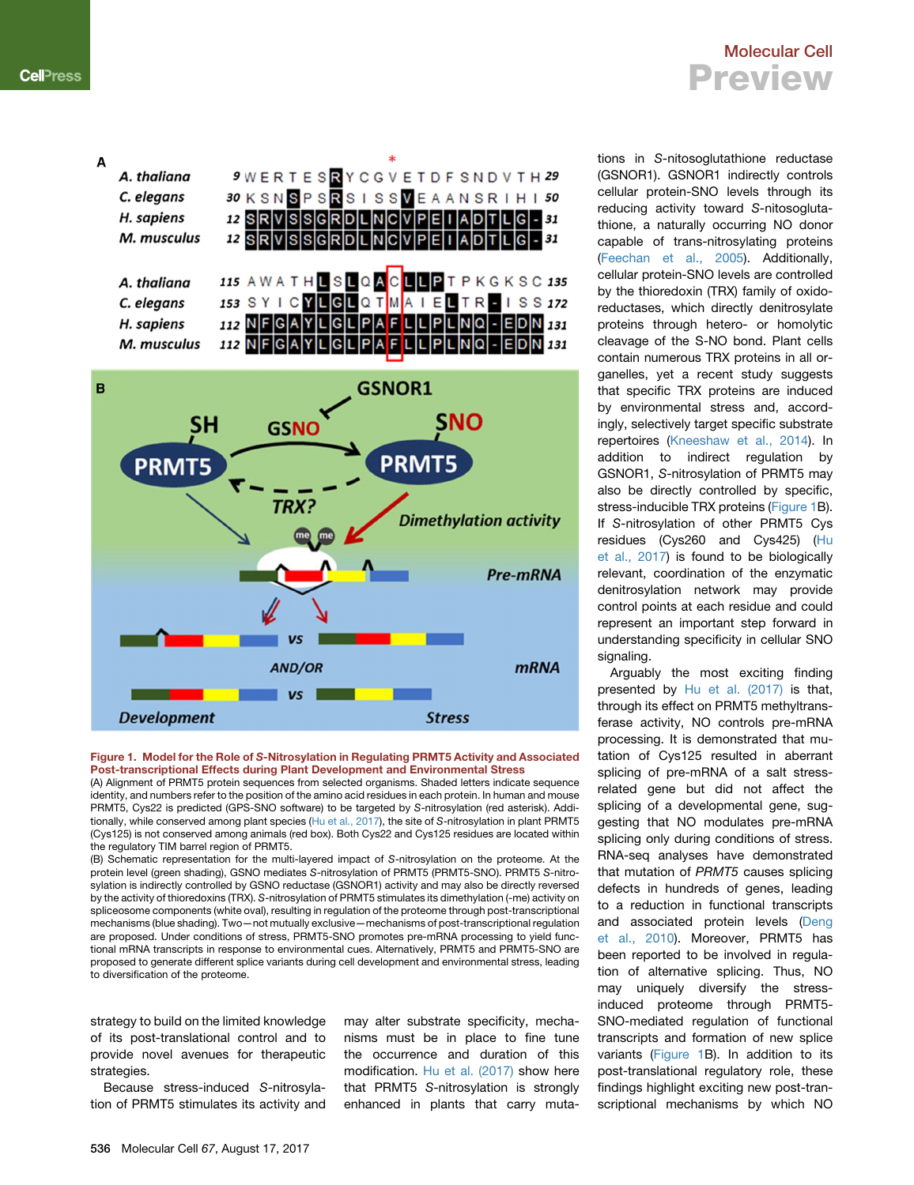<span id="page-1-0"></span>A

A. thaliana

C. elegans H. sapiens

M. musculus

A. thaliana

C. elegans

H. sapiens

### 9 WERTESRYCGVETDFSNDVTH29 30 K S N S P S R S I S S V E A A N S R I H I 50 12 SRVSSGRDLNCVPEI ADTLG - 31 RVSSGRDLNCVPEILADTL  $12S$ 115 AWATHLSLQACLLPTPKGKSC 135 153 SYICYLGLQTMAIELTREISS172 112 NFGAYLGLPAFLLPLNQ - EDN 131



#### Figure 1. Model for the Role of S-Nitrosylation in Regulating PRMT5 Activity and Associated Post-transcriptional Effects during Plant Development and Environmental Stress

(A) Alignment of PRMT5 protein sequences from selected organisms. Shaded letters indicate sequence identity, and numbers refer to the position of the amino acid residues in each protein. In human and mouse PRMT5, Cys22 is predicted (GPS-SNO software) to be targeted by *S*-nitrosylation (red asterisk). Additionally, while conserved among plant species ([Hu et al., 2017\)](#page-2-0), the site of *S*-nitrosylation in plant PRMT5 (Cys125) is not conserved among animals (red box). Both Cys22 and Cys125 residues are located within the regulatory TIM barrel region of PRMT5.

(B) Schematic representation for the multi-layered impact of *S*-nitrosylation on the proteome. At the protein level (green shading), GSNO mediates *S*-nitrosylation of PRMT5 (PRMT5-SNO). PRMT5 *S*-nitrosylation is indirectly controlled by GSNO reductase (GSNOR1) activity and may also be directly reversed by the activity of thioredoxins (TRX). *S*-nitrosylation of PRMT5 stimulates its dimethylation (-me) activity on spliceosome components (white oval), resulting in regulation of the proteome through post-transcriptional mechanisms (blue shading). Two—not mutually exclusive—mechanisms of post-transcriptional regulation are proposed. Under conditions of stress, PRMT5-SNO promotes pre-mRNA processing to yield functional mRNA transcripts in response to environmental cues. Alternatively, PRMT5 and PRMT5-SNO are proposed to generate different splice variants during cell development and environmental stress, leading to diversification of the proteome.

strategy to build on the limited knowledge of its post-translational control and to provide novel avenues for therapeutic strategies.

Because stress-induced *S*-nitrosylation of PRMT5 stimulates its activity and may alter substrate specificity, mechanisms must be in place to fine tune the occurrence and duration of this modification. [Hu et al. \(2017\)](#page-2-0) show here that PRMT5 *S*-nitrosylation is strongly enhanced in plants that carry muta-

### Molecular Cell Preview

tions in *S-*nitosoglutathione reductase (GSNOR1). GSNOR1 indirectly controls cellular protein-SNO levels through its reducing activity toward *S-*nitosoglutathione, a naturally occurring NO donor capable of trans-nitrosylating proteins ([Feechan et al., 2005\)](#page-2-7). Additionally, cellular protein-SNO levels are controlled by the thioredoxin (TRX) family of oxidoreductases, which directly denitrosylate proteins through hetero- or homolytic cleavage of the S-NO bond. Plant cells contain numerous TRX proteins in all organelles, yet a recent study suggests that specific TRX proteins are induced by environmental stress and, accordingly, selectively target specific substrate repertoires [\(Kneeshaw et al., 2014\)](#page-2-8). In addition to indirect regulation by GSNOR1, *S*-nitrosylation of PRMT5 may also be directly controlled by specific, stress-inducible TRX proteins [\(Figure 1B](#page-1-0)). If *S-*nitrosylation of other PRMT5 Cys residues (Cys260 and Cys425) [\(Hu](#page-2-0) [et al., 2017\)](#page-2-0) is found to be biologically relevant, coordination of the enzymatic denitrosylation network may provide control points at each residue and could represent an important step forward in understanding specificity in cellular SNO signaling.

Arguably the most exciting finding presented by [Hu et al. \(2017\)](#page-2-0) is that, through its effect on PRMT5 methyltransferase activity, NO controls pre-mRNA processing. It is demonstrated that mutation of Cys125 resulted in aberrant splicing of pre-mRNA of a salt stressrelated gene but did not affect the splicing of a developmental gene, suggesting that NO modulates pre-mRNA splicing only during conditions of stress. RNA-seq analyses have demonstrated that mutation of *PRMT5* causes splicing defects in hundreds of genes, leading to a reduction in functional transcripts and associated protein levels ([Deng](#page-2-9) [et al., 2010](#page-2-9)). Moreover, PRMT5 has been reported to be involved in regulation of alternative splicing. Thus, NO may uniquely diversify the stressinduced proteome through PRMT5- SNO-mediated regulation of functional transcripts and formation of new splice variants ([Figure 1](#page-1-0)B). In addition to its post-translational regulatory role, these findings highlight exciting new post-transcriptional mechanisms by which NO